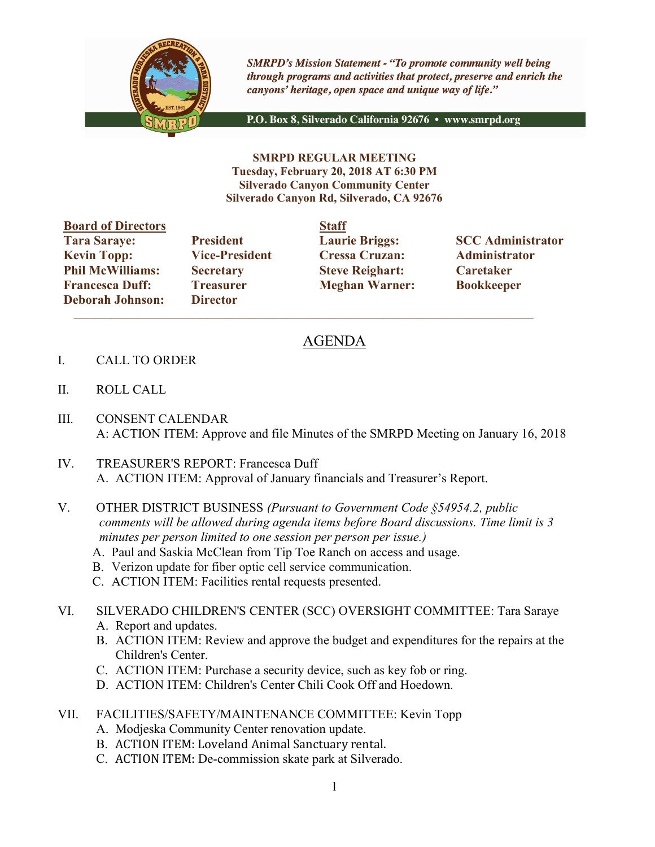

**SMRPD's Mission Statement - "To promote community well being** through programs and activities that protect, preserve and enrich the canyons' heritage, open space and unique way of life."

P.O. Box 8, Silverado California 92676 · www.smrpd.org

SMRPD REGULAR MEETING Tuesday, February 20, 2018 AT 6:30 PM Silverado Canyon Community Center Silverado Canyon Rd, Silverado, CA 92676

| <b>Board of Directors</b> |                       | <b>Staff</b> |
|---------------------------|-----------------------|--------------|
| <b>Tara Saraye:</b>       | <b>President</b>      | Lauri        |
| <b>Kevin Topp:</b>        | <b>Vice-President</b> | <b>Cress</b> |
| <b>Phil McWilliams:</b>   | <b>Secretary</b>      | <b>Steve</b> |
| <b>Francesca Duff:</b>    | <b>Treasurer</b>      | <b>Megh</b>  |
| <b>Deborah Johnson:</b>   | <b>Director</b>       |              |

Director  $\mathcal{L}_\text{max}$  and  $\mathcal{L}_\text{max}$  and  $\mathcal{L}_\text{max}$  and  $\mathcal{L}_\text{max}$  and  $\mathcal{L}_\text{max}$  and  $\mathcal{L}_\text{max}$ 

Vice-President Cressa Cruzan: Administrator **Philo McClerighart:** Steve Reighart: Caretaker Treasurer Meghan Warner: Bookkeeper

President Laurie Briggs: SCC Administrator

## AGENDA

- I. CALL TO ORDER
- II. ROLL CALL
- III. CONSENT CALENDAR A: ACTION ITEM: Approve and file Minutes of the SMRPD Meeting on January 16, 2018
- IV. TREASURER'S REPORT: Francesca Duff A. ACTION ITEM: Approval of January financials and Treasurer's Report.
- V. OTHER DISTRICT BUSINESS (Pursuant to Government Code §54954.2, public comments will be allowed during agenda items before Board discussions. Time limit is 3 minutes per person limited to one session per person per issue.)
	- A. Paul and Saskia McClean from Tip Toe Ranch on access and usage.
	- B. Verizon update for fiber optic cell service communication.
	- C. ACTION ITEM: Facilities rental requests presented.
- VI. SILVERADO CHILDREN'S CENTER (SCC) OVERSIGHT COMMITTEE: Tara Saraye
	- A. Report and updates.
	- B. ACTION ITEM: Review and approve the budget and expenditures for the repairs at the Children's Center.
	- C. ACTION ITEM: Purchase a security device, such as key fob or ring.
	- D. ACTION ITEM: Children's Center Chili Cook Off and Hoedown.
- VII. FACILITIES/SAFETY/MAINTENANCE COMMITTEE: Kevin Topp
	- A. Modjeska Community Center renovation update.
	- B. ACTION ITEM: Loveland Animal Sanctuary rental.
	- C. ACTION ITEM: De-commission skate park at Silverado.